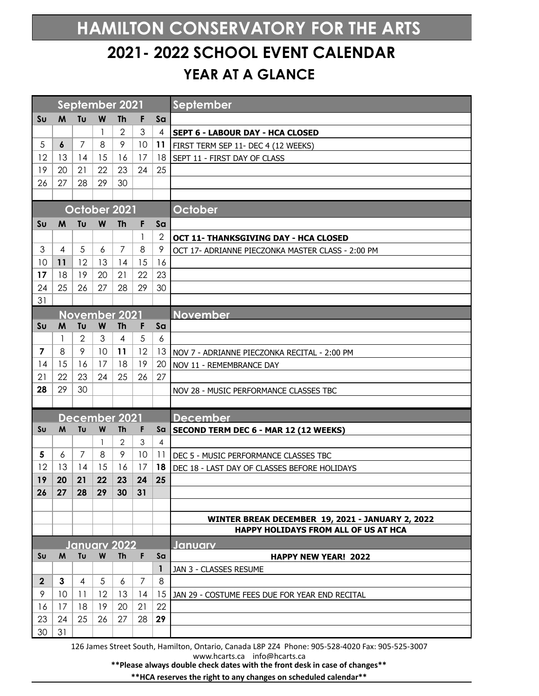## **HAMILTON CONSERVATORY FOR THE ARTS 2021- 2022 SCHOOL EVENT CALENDAR YEAR AT A GLANCE**

|                |                  | September 2021 |    |                |                |                | September                                         |
|----------------|------------------|----------------|----|----------------|----------------|----------------|---------------------------------------------------|
| S <sub>U</sub> | M                | Tu             | W  | <b>Th</b>      | F              | Sa             |                                                   |
|                |                  |                | 1  | $\overline{2}$ | 3              | $\overline{4}$ | <b>SEPT 6 - LABOUR DAY - HCA CLOSED</b>           |
| 5              | $\boldsymbol{6}$ | 7              | 8  | 9              | 10             | 11             | FIRST TERM SEP 11- DEC 4 (12 WEEKS)               |
| 12             | 13               | 14             | 15 | 16             | 17             | 18             | SEPT 11 - FIRST DAY OF CLASS                      |
| 19             | 20               | 21             | 22 | 23             | 24             | 25             |                                                   |
| 26             | 27               | 28             | 29 | 30             |                |                |                                                   |
|                |                  |                |    |                |                |                |                                                   |
|                |                  | October 2021   |    |                |                |                | October                                           |
| S <sub>U</sub> | M                | Tu             | W  | <b>Th</b>      | F              | Sa             |                                                   |
|                |                  |                |    |                | 1              | $\overline{2}$ | OCT 11- THANKSGIVING DAY - HCA CLOSED             |
| 3              | $\overline{4}$   | 5              | 6  | $\overline{7}$ | 8              | 9              | OCT 17- ADRIANNE PIECZONKA MASTER CLASS - 2:00 PM |
| 10             | 11               | 12             | 13 | 14             | 15             | 16             |                                                   |
| 17             | 18               | 19             | 20 | 21             | 22             | 23             |                                                   |
| 24             | 25               | 26             | 27 | 28             | 29             | 30             |                                                   |
| 31             |                  |                |    |                |                |                |                                                   |
|                | November 2021    |                |    |                |                |                | <b>November</b>                                   |
| Su             | M                | Tu             | W  | <b>Th</b>      | F              | Sa             |                                                   |
|                | 1                | $\overline{2}$ | 3  | $\overline{4}$ | 5              | 6              |                                                   |
| $\overline{7}$ | 8                | 9              | 10 | 11             | 12             | 13             | NOV 7 - ADRIANNE PIECZONKA RECITAL - 2:00 PM      |
| 14             | 15               | 16             | 17 | 18             | 19             | 20             | NOV 11 - REMEMBRANCE DAY                          |
| 21             | 22               | 23             | 24 | 25             | 26             | 27             |                                                   |
| 28             | 29               | 30             |    |                |                |                | NOV 28 - MUSIC PERFORMANCE CLASSES TBC            |
|                |                  |                |    |                |                |                |                                                   |
| December 2021  |                  |                |    |                |                |                | <b>December</b>                                   |
| S <sub>U</sub> | M                | Tu             | W  | Th             | F              | Sa             | SECOND TERM DEC 6 - MAR 12 (12 WEEKS)             |
|                |                  |                | 1  | $\mathbf{2}$   | 3              | $\overline{4}$ |                                                   |
| 5              | 6                | $\overline{7}$ | 8  | 9              | 10             | 11             | DEC 5 - MUSIC PERFORMANCE CLASSES TBC             |
| 12             | 13               | 14             | 15 | 16             | 17             | 18             | DEC 18 - LAST DAY OF CLASSES BEFORE HOLIDAYS      |
| 19             | 20               | 21             | 22 | 23             | 24             | 25             |                                                   |
| 26             | 27               | 28             | 29 | 30             | 31             |                |                                                   |
|                |                  |                |    |                |                |                |                                                   |
|                |                  |                |    |                |                |                | WINTER BREAK DECEMBER 19, 2021 - JANUARY 2, 2022  |
|                |                  |                |    |                |                |                | HAPPY HOLIDAYS FROM ALL OF US AT HCA              |
| January 2022   |                  |                |    |                |                |                | Januarv                                           |
| Sυ             | M                | Tu             | W  | <b>Th</b>      | F              | Sa             | <b>HAPPY NEW YEAR! 2022</b>                       |
|                |                  |                |    |                |                | $\mathbf{1}$   | JAN 3 - CLASSES RESUME                            |
| $\overline{2}$ | 3                | $\overline{4}$ | 5  | 6              | $\overline{7}$ | 8              |                                                   |
| 9              | 10               | 11             | 12 | 13             | 14             | 15             | JAN 29 - COSTUME FEES DUE FOR YEAR END RECITAL    |
| 16             | 17               | 18             | 19 | 20             | 21             | 22             |                                                   |
| 23             | 24               | 25             | 26 | 27             | 28             | 29             |                                                   |
| 30             | 31               |                |    |                |                |                |                                                   |

126 James Street South, Hamilton, Ontario, Canada L8P 2Z4 Phone: 905-528-4020 Fax: 905-525-3007 www.hcarts.ca info@hcarts.ca

**\*\*Please always double check dates with the front desk in case of changes\*\***

**\*\*HCA reserves the right to any changes on scheduled calendar\*\***